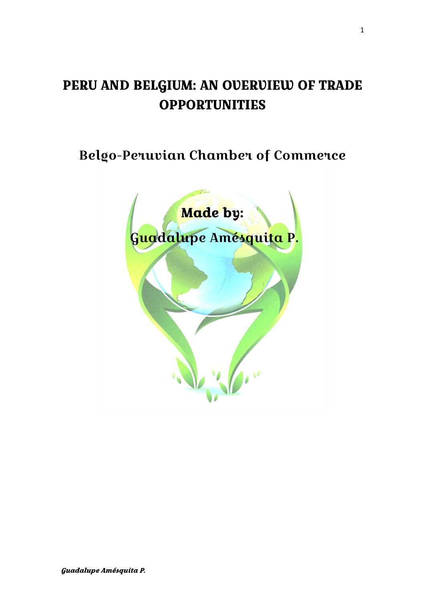# PERU AND BELGIUM: AN OVERVIEW OF TRADE **OPPORTUNITIES**

Belgo-Peruvian Chamber of Commerce

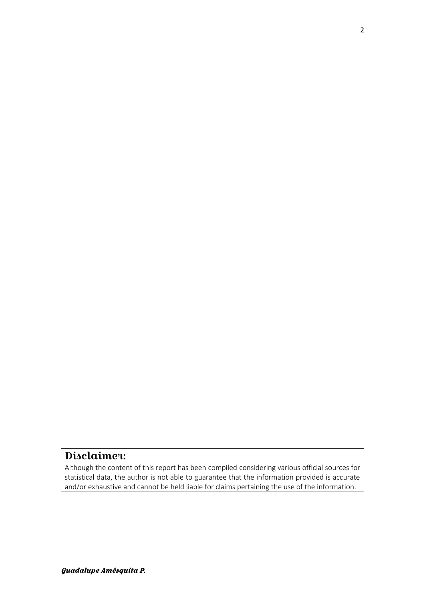# Disclaimer:

Although the content of this report has been compiled considering various official sources for statistical data, the author is not able to guarantee that the information provided is accurate and/or exhaustive and cannot be held liable for claims pertaining the use of the information.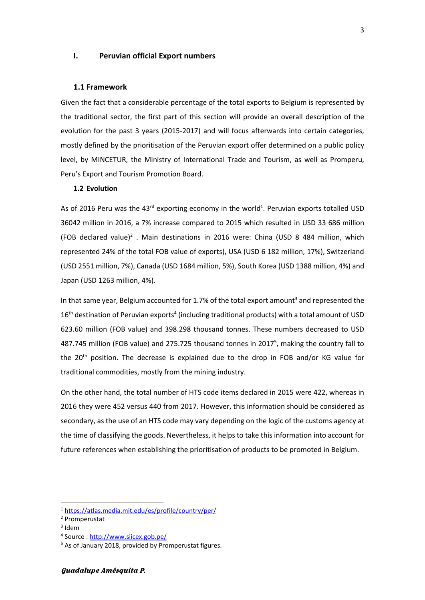#### **I. Peruvian official Export numbers**

#### **1.1 Framework**

Given the fact that a considerable percentage of the total exports to Belgium is represented by the traditional sector, the first part of this section will provide an overall description of the evolution for the past 3 years (2015-2017) and will focus afterwards into certain categories, mostly defined by the prioritisation of the Peruvian export offer determined on a public policy level, by MINCETUR, the Ministry of International Trade and Tourism, as well as Promperu, Peru's Export and Tourism Promotion Board.

## **1.2 Evolution**

As of 2016 Peru was the 43<sup>rd</sup> exporting economy in the world<sup>1</sup>. Peruvian exports totalled USD 36042 million in 2016, a 7% increase compared to 2015 which resulted in USD 33 686 million (FOB declared value)<sup>2</sup>. Main destinations in 2016 were: China (USD 8 484 million, which represented 24% of the total FOB value of exports), USA (USD 6 182 million, 17%), Switzerland (USD 2551 million, 7%), Canada (USD 1684 million, 5%), South Korea (USD 1388 million, 4%) and Japan (USD 1263 million, 4%).

In that same year, Belgium accounted for 1.7% of the total export amount<sup>3</sup> and represented the  $16<sup>th</sup>$  destination of Peruvian exports<sup>4</sup> (including traditional products) with a total amount of USD 623.60 million (FOB value) and 398.298 thousand tonnes. These numbers decreased to USD 487.745 million (FOB value) and 275.725 thousand tonnes in 2017<sup>5</sup>, making the country fall to the 20<sup>th</sup> position. The decrease is explained due to the drop in FOB and/or KG value for traditional commodities, mostly from the mining industry.

On the other hand, the total number of HTS code items declared in 2015 were 422, whereas in 2016 they were 452 versus 440 from 2017. However, this information should be considered as secondary, as the use of an HTS code may vary depending on the logic of the customs agency at the time of classifying the goods. Nevertheless, it helps to take this information into account for future references when establishing the prioritisation of products to be promoted in Belgium.

<sup>1</sup> <https://atlas.media.mit.edu/es/profile/country/per/>

<sup>2</sup> Promperustat

<sup>3</sup> Idem

<sup>&</sup>lt;sup>4</sup> Source : <u>http://www.siicex.gob.pe/</u>

<sup>&</sup>lt;sup>5</sup> As of January 2018, provided by Promperustat figures.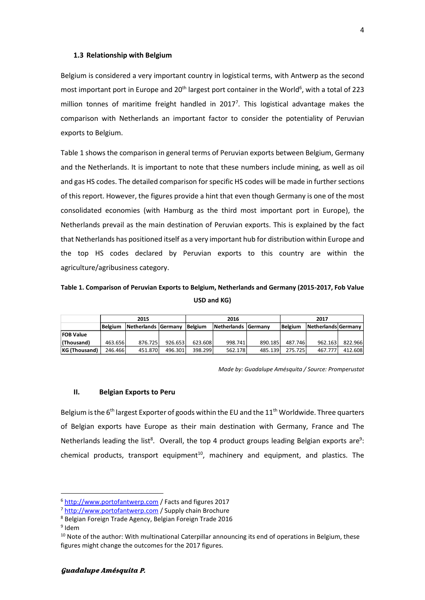#### **1.3 Relationship with Belgium**

Belgium is considered a very important country in logistical terms, with Antwerp as the second most important port in Europe and 20<sup>th</sup> largest port container in the World<sup>6</sup>, with a total of 223 million tonnes of maritime freight handled in  $2017<sup>7</sup>$ . This logistical advantage makes the comparison with Netherlands an important factor to consider the potentiality of Peruvian exports to Belgium.

Table 1 shows the comparison in general terms of Peruvian exports between Belgium, Germany and the Netherlands. It is important to note that these numbers include mining, as well as oil and gas HS codes. The detailed comparison for specific HS codes will be made in further sections of this report. However, the figures provide a hint that even though Germany is one of the most consolidated economies (with Hamburg as the third most important port in Europe), the Netherlands prevail as the main destination of Peruvian exports. This is explained by the fact that Netherlands has positioned itself as a very important hub for distribution within Europe and the top HS codes declared by Peruvian exports to this country are within the agriculture/agribusiness category.

**Table 1. Comparison of Peruvian Exports to Belgium, Netherlands and Germany (2015-2017, Fob Value USD and KG)**

|                      |                                       | 2015    |         |                     | 2016    |                | 2017                |         |         |  |
|----------------------|---------------------------------------|---------|---------|---------------------|---------|----------------|---------------------|---------|---------|--|
|                      | Netherlands Germany<br><b>Belgium</b> |         | Belgium | Netherlands Germany |         | <b>Belgium</b> | Netherlands Germany |         |         |  |
| <b>FOB Value</b>     |                                       |         |         |                     |         |                |                     |         |         |  |
| (Thousand)           | 463.656                               | 876.725 | 926.653 | 623.608             | 998.741 | 890.185        | 487.746             | 962.163 | 822.966 |  |
| <b>KG (Thousand)</b> | 246.466                               | 451.870 | 496.301 | 398.299             | 562.178 | 485.139        | 275.725             | 467.777 | 412.608 |  |

*Made by: Guadalupe Amésquita / Source: Promperustat*

#### **II. Belgian Exports to Peru**

Belgium is the 6<sup>th</sup> largest Exporter of goods within the EU and the 11<sup>th</sup> Worldwide. Three quarters of Belgian exports have Europe as their main destination with Germany, France and The Netherlands leading the list<sup>8</sup>. Overall, the top 4 product groups leading Belgian exports are<sup>9</sup>: chemical products, transport equipment<sup>10</sup>, machinery and equipment, and plastics. The

1

<sup>6</sup> [http://www.portofantwerp.com](http://www.portofantwerp.com/) / Facts and figures 2017

<sup>7</sup> [http://www.portofantwerp.com](http://www.portofantwerp.com/) / Supply chain Brochure

<sup>8</sup> Belgian Foreign Trade Agency, Belgian Foreign Trade 2016

<sup>&</sup>lt;sup>9</sup> Idem

<sup>&</sup>lt;sup>10</sup> Note of the author: With multinational Caterpillar announcing its end of operations in Belgium, these figures might change the outcomes for the 2017 figures.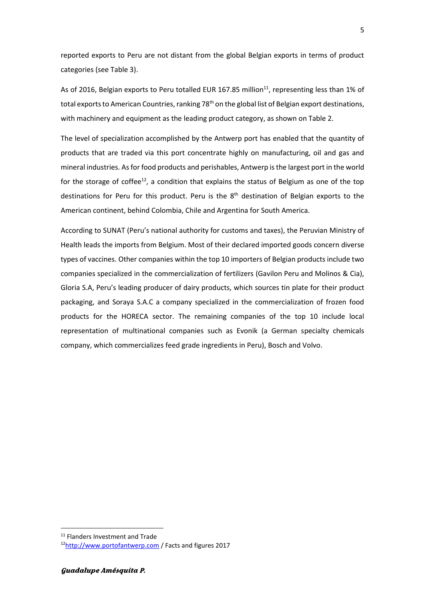reported exports to Peru are not distant from the global Belgian exports in terms of product categories (see Table 3).

As of 2016, Belgian exports to Peru totalled EUR 167.85 million<sup>11</sup>, representing less than 1% of total exports to American Countries, ranking 78<sup>th</sup> on the global list of Belgian export destinations, with machinery and equipment as the leading product category, as shown on Table 2.

The level of specialization accomplished by the Antwerp port has enabled that the quantity of products that are traded via this port concentrate highly on manufacturing, oil and gas and mineral industries. As for food products and perishables, Antwerp is the largest port in the world for the storage of coffee<sup>12</sup>, a condition that explains the status of Belgium as one of the top destinations for Peru for this product. Peru is the 8<sup>th</sup> destination of Belgian exports to the American continent, behind Colombia, Chile and Argentina for South America.

According to SUNAT (Peru's national authority for customs and taxes), the Peruvian Ministry of Health leads the imports from Belgium. Most of their declared imported goods concern diverse types of vaccines. Other companies within the top 10 importers of Belgian products include two companies specialized in the commercialization of fertilizers (Gavilon Peru and Molinos & Cia), Gloria S.A, Peru's leading producer of dairy products, which sources tin plate for their product packaging, and Soraya S.A.C a company specialized in the commercialization of frozen food products for the HORECA sector. The remaining companies of the top 10 include local representation of multinational companies such as Evonik (a German specialty chemicals company, which commercializes feed grade ingredients in Peru), Bosch and Volvo.

<sup>&</sup>lt;sup>11</sup> Flanders Investment and Trade

<sup>12</sup>[http://www.portofantwerp.com](http://www.portofantwerp.com/) / Facts and figures 2017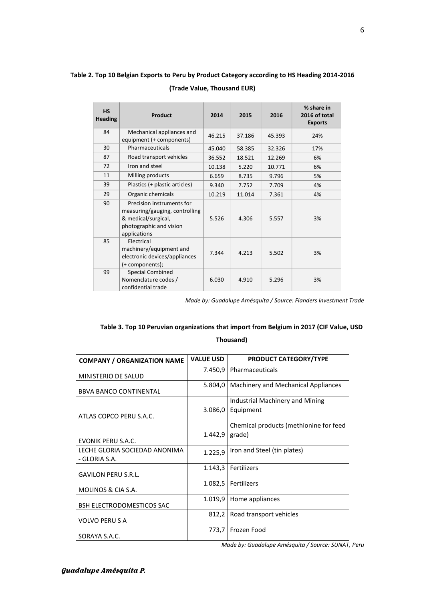# **Table 2. Top 10 Belgian Exports to Peru by Product Category according to HS Heading 2014-2016 (Trade Value, Thousand EUR)**

| <b>HS</b><br><b>Heading</b> | Product                                                                                                                       | 2014   | 2015   | 2016   | % share in<br>2016 of total<br><b>Exports</b> |
|-----------------------------|-------------------------------------------------------------------------------------------------------------------------------|--------|--------|--------|-----------------------------------------------|
| 84                          | Mechanical appliances and<br>equipment (+ components)                                                                         | 46.215 | 37.186 | 45.393 | 24%                                           |
| 30                          | Pharmaceuticals                                                                                                               | 45.040 | 58.385 | 32.326 | 17%                                           |
| 87                          | Road transport vehicles                                                                                                       | 36.552 | 18.521 | 12.269 | 6%                                            |
| 72                          | Iron and steel                                                                                                                | 10.138 | 5.220  | 10.771 | 6%                                            |
| 11                          | Milling products                                                                                                              | 6.659  | 8.735  | 9.796  | 5%                                            |
| 39                          | Plastics (+ plastic articles)                                                                                                 | 9.340  | 7.752  | 7.709  | 4%                                            |
| 29                          | Organic chemicals                                                                                                             | 10.219 | 11.014 | 7.361  | 4%                                            |
| 90                          | Precision instruments for<br>measuring/gauging, controlling<br>& medical/surgical,<br>photographic and vision<br>applications | 5.526  | 4.306  | 5.557  | 3%                                            |
| 85                          | Electrical<br>machinery/equipment and<br>electronic devices/appliances<br>(+ components);                                     | 7.344  | 4.213  | 5.502  | 3%                                            |
| 99                          | <b>Special Combined</b><br>Nomenclature codes /<br>confidential trade                                                         | 6.030  | 4.910  | 5.296  | 3%                                            |

*Made by: Guadalupe Amésquita / Source: Flanders Investment Trade* 

# **Table 3. Top 10 Peruvian organizations that import from Belgium in 2017 (CIF Value, USD**

## **Thousand)**

| <b>COMPANY / ORGANIZATION NAME</b>             | <b>VALUE USD</b> | <b>PRODUCT CATEGORY/TYPE</b>           |
|------------------------------------------------|------------------|----------------------------------------|
| MINISTERIO DE SALUD                            | 7.450,9          | Pharmaceuticals                        |
| <b>BBVA BANCO CONTINENTAL</b>                  | 5.804,0          | Machinery and Mechanical Appliances    |
|                                                |                  | Industrial Machinery and Mining        |
| ATLAS COPCO PERU S.A.C.                        | 3.086,0          | Equipment                              |
|                                                |                  | Chemical products (methionine for feed |
| EVONIK PERU S.A.C.                             | 1.442,9          | grade)                                 |
| LECHE GLORIA SOCIEDAD ANONIMA<br>- GLORIA S.A. | 1.225,9          | Iron and Steel (tin plates)            |
| <b>GAVILON PERU S.R.L.</b>                     | 1.143,3          | Fertilizers                            |
| MOLINOS & CIA S.A.                             | 1.082,5          | Fertilizers                            |
| <b>BSH ELECTRODOMESTICOS SAC</b>               | 1.019,9          | Home appliances                        |
| <b>VOLVO PERUS A</b>                           | 812,2            | Road transport vehicles                |
| SORAYA S.A.C.                                  | 773,7            | Frozen Food                            |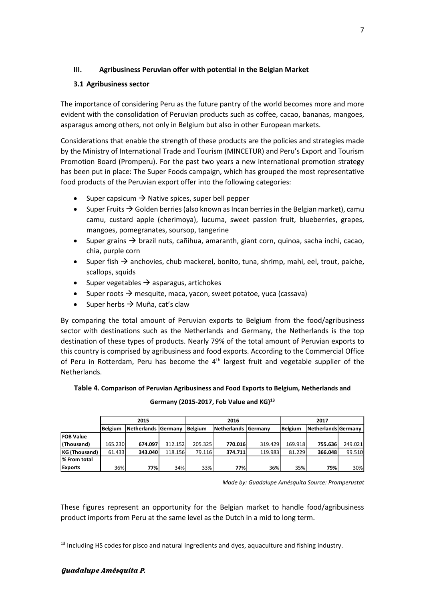## **III. Agribusiness Peruvian offer with potential in the Belgian Market**

## **3.1 Agribusiness sector**

The importance of considering Peru as the future pantry of the world becomes more and more evident with the consolidation of Peruvian products such as coffee, cacao, bananas, mangoes, asparagus among others, not only in Belgium but also in other European markets.

Considerations that enable the strength of these products are the policies and strategies made by the Ministry of International Trade and Tourism (MINCETUR) and Peru's Export and Tourism Promotion Board (Promperu). For the past two years a new international promotion strategy has been put in place: The Super Foods campaign, which has grouped the most representative food products of the Peruvian export offer into the following categories:

- Super capsicum  $\rightarrow$  Native spices, super bell pepper
- Super Fruits  $\rightarrow$  Golden berries (also known as Incan berries in the Belgian market), camu camu, custard apple (cherimoya), lucuma, sweet passion fruit, blueberries, grapes, mangoes, pomegranates, soursop, tangerine
- Super grains  $\rightarrow$  brazil nuts, cañihua, amaranth, giant corn, quinoa, sacha inchi, cacao, chia, purple corn
- Super fish  $\rightarrow$  anchovies, chub mackerel, bonito, tuna, shrimp, mahi, eel, trout, paiche, scallops, squids
- Super vegetables  $\rightarrow$  asparagus, artichokes
- Super roots  $\rightarrow$  mesquite, maca, yacon, sweet potatoe, yuca (cassava)
- Super herbs  $\rightarrow$  Muña, cat's claw

By comparing the total amount of Peruvian exports to Belgium from the food/agribusiness sector with destinations such as the Netherlands and Germany, the Netherlands is the top destination of these types of products. Nearly 79% of the total amount of Peruvian exports to this country is comprised by agribusiness and food exports. According to the Commercial Office of Peru in Rotterdam, Peru has become the  $4<sup>th</sup>$  largest fruit and vegetable supplier of the Netherlands.

## **Table 4. Comparison of Peruvian Agribusiness and Food Exports to Belgium, Netherlands and**

| Germany (2015-2017, Fob Value and KG) <sup>13</sup> |  |  |  |
|-----------------------------------------------------|--|--|--|
|-----------------------------------------------------|--|--|--|

|                  | 2015<br>Netherlands Germany<br>l Belgium |         |         |                                        | 2016    |         | 2017           |                       |         |  |
|------------------|------------------------------------------|---------|---------|----------------------------------------|---------|---------|----------------|-----------------------|---------|--|
|                  |                                          |         |         | <b>Belgium</b><br>Netherlands  Germanv |         |         | <b>Belgium</b> | Netherlands   Germany |         |  |
| <b>FOB Value</b> |                                          |         |         |                                        |         |         |                |                       |         |  |
| (Thousand)       | 165.230                                  | 674.097 | 312.152 | 205.325                                | 770.016 | 319.429 | 169.918        | 755.636               | 249.021 |  |
| KG (Thousand)    | 61.433                                   | 343.040 | 118.156 | 79.116                                 | 374.711 | 119.983 | 81.229         | 366.048               | 99.510  |  |
| % From total     |                                          |         |         |                                        |         |         |                |                       |         |  |
| <b>Exports</b>   | 36%                                      | 77%     | 34%     | 33%                                    | 77%     | 36%     | 35%            | 79%                   | 30%     |  |

*Made by: Guadalupe Amésquita Source: Promperustat*

These figures represent an opportunity for the Belgian market to handle food/agribusiness product imports from Peru at the same level as the Dutch in a mid to long term.

1

<sup>&</sup>lt;sup>13</sup> Including HS codes for pisco and natural ingredients and dyes, aquaculture and fishing industry.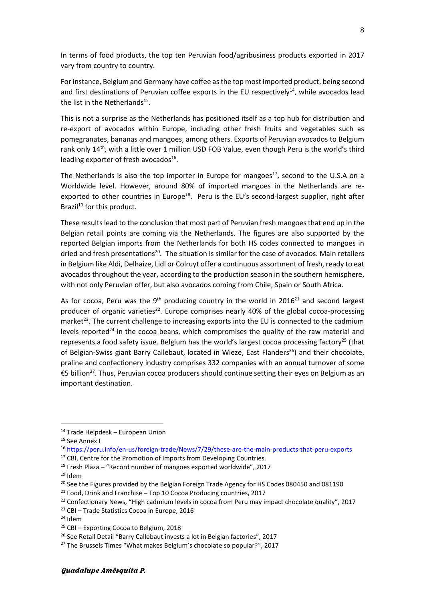In terms of food products, the top ten Peruvian food/agribusiness products exported in 2017 vary from country to country.

For instance, Belgium and Germany have coffee as the top most imported product, being second and first destinations of Peruvian coffee exports in the EU respectively $^{14}$ , while avocados lead the list in the Netherlands<sup>15</sup>.

This is not a surprise as the Netherlands has positioned itself as a top hub for distribution and re-export of avocados within Europe, including other fresh fruits and vegetables such as pomegranates, bananas and mangoes, among others. Exports of Peruvian avocados to Belgium rank only 14<sup>th</sup>, with a little over 1 million USD FOB Value, even though Peru is the world's third leading exporter of fresh avocados<sup>16</sup>.

The Netherlands is also the top importer in Europe for mangoes<sup>17</sup>, second to the U.S.A on a Worldwide level. However, around 80% of imported mangoes in the Netherlands are reexported to other countries in Europe<sup>18</sup>. Peru is the EU's second-largest supplier, right after Brazil<sup>19</sup> for this product.

These results lead to the conclusion that most part of Peruvian fresh mangoes that end up in the Belgian retail points are coming via the Netherlands. The figures are also supported by the reported Belgian imports from the Netherlands for both HS codes connected to mangoes in dried and fresh presentations<sup>20</sup>. The situation is similar for the case of avocados. Main retailers in Belgium like Aldi, Delhaize, Lidl or Colruyt offer a continuous assortment of fresh, ready to eat avocados throughout the year, according to the production season in the southern hemisphere, with not only Peruvian offer, but also avocados coming from Chile, Spain or South Africa.

As for cocoa, Peru was the 9<sup>th</sup> producing country in the world in 2016<sup>21</sup> and second largest producer of organic varieties<sup>22</sup>. Europe comprises nearly 40% of the global cocoa-processing market<sup>23</sup>. The current challenge to increasing exports into the EU is connected to the cadmium levels reported<sup>24</sup> in the cocoa beans, which compromises the quality of the raw material and represents a food safety issue. Belgium has the world's largest cocoa processing factory<sup>25</sup> (that of Belgian-Swiss giant Barry Callebaut, located in Wieze, East Flanders<sup>26</sup>) and their chocolate, praline and confectionery industry comprises 332 companies with an annual turnover of some €5 billion<sup>27</sup>. Thus, Peruvian cocoa producers should continue setting their eyes on Belgium as an important destination.

- <sup>17</sup> CBI, Centre for the Promotion of Imports from Developing Countries.
- <sup>18</sup> Fresh Plaza "Record number of mangoes exported worldwide", 2017

**.** 

#### Guadalupe Amésquita P.

<sup>14</sup> Trade Helpdesk – European Union

<sup>&</sup>lt;sup>15</sup> See Annex I

<sup>16</sup> <https://peru.info/en-us/foreign-trade/News/7/29/these-are-the-main-products-that-peru-exports>

 $19$  Idem

 $20$  See the Figures provided by the Belgian Foreign Trade Agency for HS Codes 080450 and 081190

 $21$  Food, Drink and Franchise – Top 10 Cocoa Producing countries, 2017

<sup>&</sup>lt;sup>22</sup> Confectionary News, "High cadmium levels in cocoa from Peru may impact chocolate quality", 2017

<sup>23</sup> CBI – Trade Statistics Cocoa in Europe, 2016

<sup>24</sup> Idem

 $25$  CBI – Exporting Cocoa to Belgium, 2018

<sup>&</sup>lt;sup>26</sup> See Retail Detail "Barry Callebaut invests a lot in Belgian factories", 2017

<sup>&</sup>lt;sup>27</sup> The Brussels Times "What makes Belgium's chocolate so popular?", 2017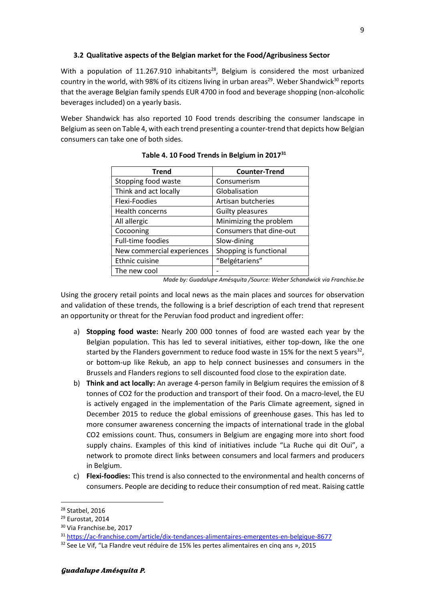## **3.2 Qualitative aspects of the Belgian market for the Food/Agribusiness Sector**

With a population of 11.267.910 inhabitants<sup>28</sup>, Belgium is considered the most urbanized country in the world, with 98% of its citizens living in urban areas<sup>29</sup>. Weber Shandwick<sup>30</sup> reports that the average Belgian family spends EUR 4700 in food and beverage shopping (non-alcoholic beverages included) on a yearly basis.

Weber Shandwick has also reported 10 Food trends describing the consumer landscape in Belgium as seen on Table 4, with each trend presenting a counter-trend that depicts how Belgian consumers can take one of both sides.

| <b>Trend</b>               | <b>Counter-Trend</b>    |
|----------------------------|-------------------------|
| Stopping food waste        | Consumerism             |
| Think and act locally      | Globalisation           |
| Flexi-Foodies              | Artisan butcheries      |
| <b>Health concerns</b>     | <b>Guilty pleasures</b> |
| All allergic               | Minimizing the problem  |
| Cocooning                  | Consumers that dine-out |
| Full-time foodies          | Slow-dining             |
| New commercial experiences | Shopping is functional  |
| Ethnic cuisine             | "Belgétariens"          |
| The new cool               |                         |

## **Table 4. 10 Food Trends in Belgium in 2017<sup>31</sup>**

*Made by: Guadalupe Amésquita /Source: Weber Schandwick via Franchise.be* 

Using the grocery retail points and local news as the main places and sources for observation and validation of these trends, the following is a brief description of each trend that represent an opportunity or threat for the Peruvian food product and ingredient offer:

- a) **Stopping food waste:** Nearly 200 000 tonnes of food are wasted each year by the Belgian population. This has led to several initiatives, either top-down, like the one started by the Flanders government to reduce food waste in 15% for the next 5 years<sup>32</sup>, or bottom-up like Rekub, an app to help connect businesses and consumers in the Brussels and Flanders regions to sell discounted food close to the expiration date.
- b) **Think and act locally:** An average 4-person family in Belgium requires the emission of 8 tonnes of CO2 for the production and transport of their food. On a macro-level, the EU is actively engaged in the implementation of the Paris Climate agreement, signed in December 2015 to reduce the global emissions of greenhouse gases. This has led to more consumer awareness concerning the impacts of international trade in the global CO2 emissions count. Thus, consumers in Belgium are engaging more into short food supply chains. Examples of this kind of initiatives include "La Ruche qui dit Oui", a network to promote direct links between consumers and local farmers and producers in Belgium.
- c) **Flexi-foodies:** This trend is also connected to the environmental and health concerns of consumers. People are deciding to reduce their consumption of red meat. Raising cattle

<sup>28</sup> Statbel, 2016

<sup>29</sup> Eurostat, 2014

<sup>30</sup> Via Franchise.be, 2017

<sup>31</sup> <https://ac-franchise.com/article/dix-tendances-alimentaires-emergentes-en-belgique-8677>

<sup>&</sup>lt;sup>32</sup> See Le Vif, "La Flandre veut réduire de 15% les pertes alimentaires en cinq ans », 2015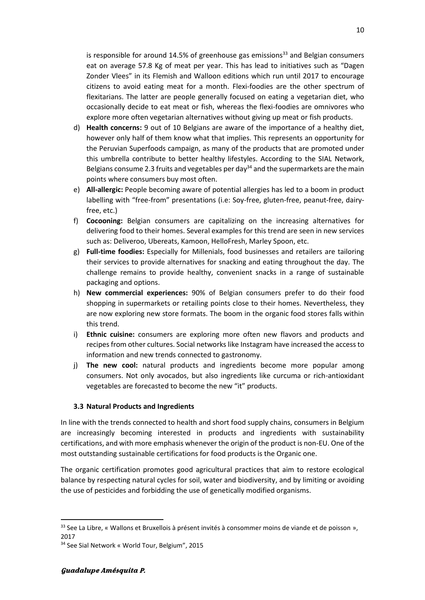is responsible for around 14.5% of greenhouse gas emissions<sup>33</sup> and Belgian consumers eat on average 57.8 Kg of meat per year. This has lead to initiatives such as "Dagen Zonder Vlees" in its Flemish and Walloon editions which run until 2017 to encourage citizens to avoid eating meat for a month. Flexi-foodies are the other spectrum of flexitarians. The latter are people generally focused on eating a vegetarian diet, who occasionally decide to eat meat or fish, whereas the flexi-foodies are omnivores who explore more often vegetarian alternatives without giving up meat or fish products.

- d) **Health concerns:** 9 out of 10 Belgians are aware of the importance of a healthy diet, however only half of them know what that implies. This represents an opportunity for the Peruvian Superfoods campaign, as many of the products that are promoted under this umbrella contribute to better healthy lifestyles. According to the SIAL Network, Belgians consume 2.3 fruits and vegetables per day<sup>34</sup> and the supermarkets are the main points where consumers buy most often.
- e) **All-allergic:** People becoming aware of potential allergies has led to a boom in product labelling with "free-from" presentations (i.e: Soy-free, gluten-free, peanut-free, dairyfree, etc.)
- f) **Cocooning:** Belgian consumers are capitalizing on the increasing alternatives for delivering food to their homes. Several examples for this trend are seen in new services such as: Deliveroo, Ubereats, Kamoon, HelloFresh, Marley Spoon, etc.
- g) **Full-time foodies:** Especially for Millenials, food businesses and retailers are tailoring their services to provide alternatives for snacking and eating throughout the day. The challenge remains to provide healthy, convenient snacks in a range of sustainable packaging and options.
- h) **New commercial experiences:** 90% of Belgian consumers prefer to do their food shopping in supermarkets or retailing points close to their homes. Nevertheless, they are now exploring new store formats. The boom in the organic food stores falls within this trend.
- i) **Ethnic cuisine:** consumers are exploring more often new flavors and products and recipes from other cultures. Social networks like Instagram have increased the access to information and new trends connected to gastronomy.
- j) **The new cool:** natural products and ingredients become more popular among consumers. Not only avocados, but also ingredients like curcuma or rich-antioxidant vegetables are forecasted to become the new "it" products.

## **3.3 Natural Products and Ingredients**

In line with the trends connected to health and short food supply chains, consumers in Belgium are increasingly becoming interested in products and ingredients with sustainability certifications, and with more emphasis whenever the origin of the product is non-EU. One of the most outstanding sustainable certifications for food products is the Organic one.

The organic certification promotes good agricultural practices that aim to restore ecological balance by respecting natural cycles for soil, water and biodiversity, and by limiting or avoiding the use of pesticides and forbidding the use of genetically modified organisms.

<sup>33</sup> See La Libre, « Wallons et Bruxellois à présent invités à consommer moins de viande et de poisson », 2017

<sup>34</sup> See Sial Network « World Tour, Belgium", 2015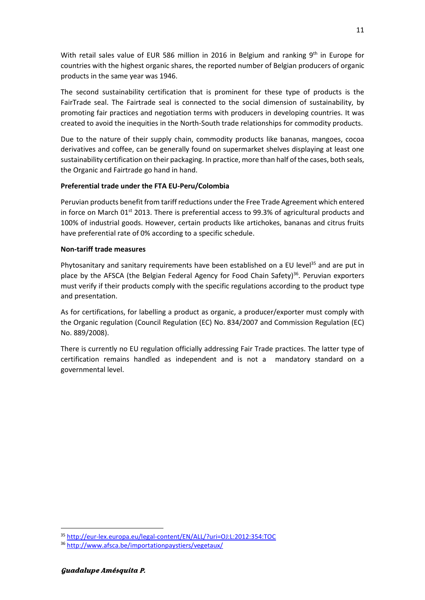With retail sales value of EUR 586 million in 2016 in Belgium and ranking  $9<sup>th</sup>$  in Europe for countries with the highest organic shares, the reported number of Belgian producers of organic products in the same year was 1946.

The second sustainability certification that is prominent for these type of products is the FairTrade seal. The Fairtrade seal is connected to the social dimension of sustainability, by promoting fair practices and negotiation terms with producers in developing countries. It was created to avoid the inequities in the North-South trade relationships for commodity products.

Due to the nature of their supply chain, commodity products like bananas, mangoes, cocoa derivatives and coffee, can be generally found on supermarket shelves displaying at least one sustainability certification on their packaging. In practice, more than half of the cases, both seals, the Organic and Fairtrade go hand in hand.

## **Preferential trade under the FTA EU-Peru/Colombia**

Peruvian products benefit from tariff reductions under the Free Trade Agreement which entered in force on March 01 $\mathrm{st}$  2013. There is preferential access to 99.3% of agricultural products and 100% of industrial goods. However, certain products like artichokes, bananas and citrus fruits have preferential rate of 0% according to a specific schedule.

## **Non-tariff trade measures**

Phytosanitary and sanitary requirements have been established on a EU level<sup>35</sup> and are put in place by the AFSCA (the Belgian Federal Agency for Food Chain Safety)<sup>36</sup>. Peruvian exporters must verify if their products comply with the specific regulations according to the product type and presentation.

As for certifications, for labelling a product as organic, a producer/exporter must comply with the Organic regulation (Council Regulation (EC) No. 834/2007 and Commission Regulation (EC) No. 889/2008).

There is currently no EU regulation officially addressing Fair Trade practices. The latter type of certification remains handled as independent and is not a mandatory standard on a governmental level.

<sup>35</sup> <http://eur-lex.europa.eu/legal-content/EN/ALL/?uri=OJ:L:2012:354:TOC>

<sup>36</sup> <http://www.afsca.be/importationpaystiers/vegetaux/>